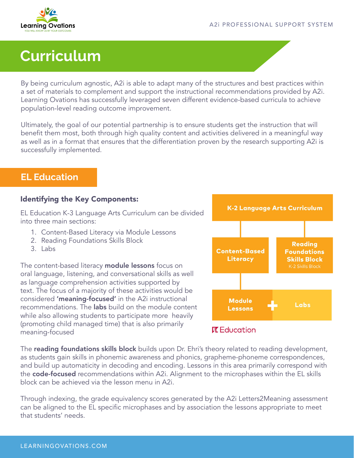

# **Curriculum**

By being curriculum agnostic, A2i is able to adapt many of the structures and best practices within a set of materials to complement and support the instructional recommendations provided by A2i. Learning Ovations has successfully leveraged seven different evidence-based curricula to achieve population-level reading outcome improvement.

Ultimately, the goal of our potential partnership is to ensure students get the instruction that will benefit them most, both through high quality content and activities delivered in a meaningful way as well as in a format that ensures that the differentiation proven by the research supporting A2i is successfully implemented.

### **EL Education**

### Identifying the Key Components:

EL Education K-3 Language Arts Curriculum can be divided into three main sections:

- 1. Content-Based Literacy via Module Lessons
- 2. Reading Foundations Skills Block
- $3.$  Labs

The content-based literacy **module lessons** focus on oral language, listening, and conversational skills as well as language comprehension activities supported by text. The focus of a majority of these activities would be considered 'meaning-focused' in the A2i instructional recommendations. The **labs** build on the module content while also allowing students to participate more heavily (promoting child managed time) that is also primarily meaning-focused



The **reading foundations skills block** builds upon Dr. Ehri's theory related to reading development, as students gain skills in phonemic awareness and phonics, grapheme-phoneme correspondences, and build up automaticity in decoding and encoding. Lessons in this area primarily correspond with the code-focused recommendations within A2i. Alignment to the microphases within the EL skills block can be achieved via the lesson menu in A2i.

Through indexing, the grade equivalency scores generated by the A2i Letters2Meaning assessment can be aligned to the EL specific microphases and by association the lessons appropriate to meet that students' needs.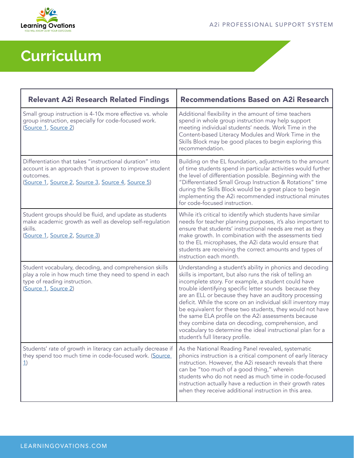

# **Curriculum**

| <b>Relevant A2i Research Related Findings</b>                                                                                                                                                | <b>Recommendations Based on A2i Research</b>                                                                                                                                                                                                                                                                                                                                                                                                                                                                                                                                                                                                   |
|----------------------------------------------------------------------------------------------------------------------------------------------------------------------------------------------|------------------------------------------------------------------------------------------------------------------------------------------------------------------------------------------------------------------------------------------------------------------------------------------------------------------------------------------------------------------------------------------------------------------------------------------------------------------------------------------------------------------------------------------------------------------------------------------------------------------------------------------------|
| Small group instruction is 4-10x more effective vs. whole<br>group instruction, especially for code-focused work.<br>(Source 1, Source 2)                                                    | Additional flexibility in the amount of time teachers<br>spend in whole group instruction may help support<br>meeting individual students' needs. Work Time in the<br>Content-based Literacy Modules and Work Time in the<br>Skills Block may be good places to begin exploring this<br>recommendation.                                                                                                                                                                                                                                                                                                                                        |
| Differentiation that takes "instructional duration" into<br>account is an approach that is proven to improve student<br>outcomes.<br>(Source 1, Source 2, Source 3, Source 4, Source 5)      | Building on the EL foundation, adjustments to the amount<br>of time students spend in particular activities would further<br>the level of differentiation possible. Beginning with the<br>"Differentiated Small Group Instruction & Rotations" time<br>during the Skills Block would be a great place to begin<br>implementing the A2i recommended instructional minutes<br>for code-focused instruction.                                                                                                                                                                                                                                      |
| Student groups should be fluid, and update as students<br>make academic growth as well as develop self-regulation<br>skills.<br>(Source 1, Source 2, Source 3)                               | While it's critical to identify which students have similar<br>needs for teacher planning purposes, it's also important to<br>ensure that students' instructional needs are met as they<br>make growth. In combination with the assessments tied<br>to the EL microphases, the A2i data would ensure that<br>students are receiving the correct amounts and types of<br>instruction each month.                                                                                                                                                                                                                                                |
| Student vocabulary, decoding, and comprehension skills<br>play a role in how much time they need to spend in each<br>type of reading instruction.<br>(Source 1, Source 2)                    | Understanding a student's ability in phonics and decoding<br>skills is important, but also runs the risk of telling an<br>incomplete story. For example, a student could have<br>trouble identifying specific letter sounds because they<br>are an ELL or because they have an auditory processing<br>deficit. While the score on an individual skill inventory may<br>be equivalent for these two students, they would not have<br>the same ELA profile on the A2i assessments because<br>they combine data on decoding, comprehension, and<br>vocabulary to determine the ideal instructional plan for a<br>student's full literacy profile. |
| Students' rate of growth in literacy can actually decrease if   As the National Reading Panel revealed, systematic<br>they spend too much time in code-focused work. (Source<br>$\mathbf{1}$ | phonics instruction is a critical component of early literacy<br>instruction. However, the A2i research reveals that there<br>can be "too much of a good thing," wherein<br>students who do not need as much time in code-focused<br>instruction actually have a reduction in their growth rates<br>when they receive additional instruction in this area.                                                                                                                                                                                                                                                                                     |